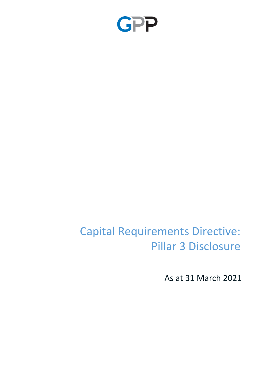

# Capital Requirements Directive: Pillar 3 Disclosure

As at 31 March 2021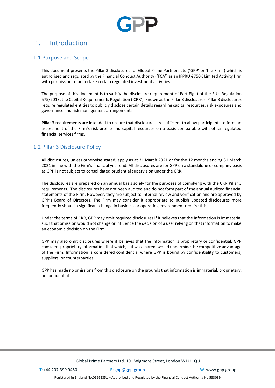

# 1. Introduction

# 1.1 Purpose and Scope

This document presents the Pillar 3 disclosures for Global Prime Partners Ltd ('GPP' or 'the Firm') which is authorised and regulated by the Financial Conduct Authority ('FCA') as an IFPRU €750K Limited Activity firm with permission to undertake certain regulated investment activities.

The purpose of this document is to satisfy the disclosure requirement of Part Eight of the EU's Regulation 575/2013, the Capital Requirements Regulation ('CRR'), known as the Pillar 3 disclosures. Pillar 3 disclosures require regulated entities to publicly disclose certain details regarding capital resources, risk exposures and governance and risk management arrangements.

Pillar 3 requirements are intended to ensure that disclosures are sufficient to allow participants to form an assessment of the Firm's risk profile and capital resources on a basis comparable with other regulated financial services firms.

# 1.2 Pillar 3 Disclosure Policy

All disclosures, unless otherwise stated, apply as at 31 March 2021 or for the 12 months ending 31 March 2021 in line with the Firm's financial year end. All disclosures are for GPP on a standalone or company basis as GPP is not subject to consolidated prudential supervision under the CRR.

The disclosures are prepared on an annual basis solely for the purposes of complying with the CRR Pillar 3 requirements. The disclosures have not been audited and do not form part of the annual audited financial statements of the Firm. However, they are subject to internal review and verification and are approved by GPP's Board of Directors. The Firm may consider it appropriate to publish updated disclosures more frequently should a significant change in business or operating environment require this.

Under the terms of CRR, GPP may omit required disclosures if it believes that the information is immaterial such that omission would not change or influence the decision of a user relying on that information to make an economic decision on the Firm.

GPP may also omit disclosures where it believes that the information is proprietary or confidential. GPP considers proprietary information that which, if it was shared, would undermine the competitive advantage of the Firm. Information is considered confidential where GPP is bound by confidentiality to customers, suppliers, or counterparties.

GPP has made no omissions from this disclosure on the grounds that information is immaterial, proprietary, or confidential.

T: +44 207 399 9450 E: [gpp@gpp.group](mailto:gpp@gpp.group) W: [www.gpp.group](http://www.gpp.group/)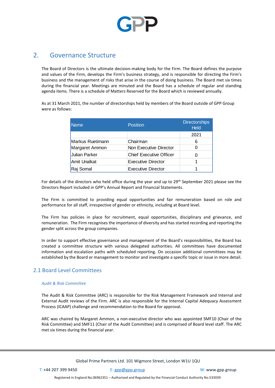

# 2. Governance Structure

The Board of Directors is the ultimate decision-making body for the Firm. The Board defines the purpose and values of the Firm, develops the Firm's business strategy, and is responsible for directing the Firm's business and the management of risks that arise in the course of doing business. The Board met six times during the financial year. Meetings are minuted and the Board has a schedule of regular and standing agenda items. There is a schedule of Matters Reserved for the Board which is reviewed annually.

As at 31 March 2021, the number of directorships held by members of the Board outside of GPP Group were as follows:

| <b>Name</b>      | <b>Position</b>                | <b>Directorships</b><br><b>Held</b> |
|------------------|--------------------------------|-------------------------------------|
|                  |                                | 2021                                |
| Markus Ruetimann | Chairman                       | 6                                   |
| Margaret Ammon   | Non Executive Director         | 0                                   |
| Julian Parker    | <b>Chief Executive Officer</b> | O                                   |
| Amit Unalkat     | <b>Executive Director</b>      | 1                                   |
| Raj Somal        | <b>Executive Director</b>      |                                     |

For details of the directors who held office during the year and up to 29<sup>th</sup> September 2021 please see the Directors Report included in GPP's Annual Report and Financial Statements.

The Firm is committed to providing equal opportunities and fair remuneration based on role and performance for all staff, irrespective of gender or ethnicity, including at Board level.

The Firm has policies in place for recruitment, equal opportunities, disciplinary and grievance, and remuneration. The Firm recognises the importance of diversity and has started recording and reporting the gender split across the group companies.

In order to support effective governance and management of the Board's responsibilities, the Board has created a committee structure with various delegated authorities. All committees have documented information and escalation paths with scheduled reporting. On occasion additional committees may be established by the Board or management to monitor and investigate a specific topic or issue in more detail.

# 2.1 Board Level Committees

#### *Audit & Risk Committee*

The Audit & Risk Committee (ARC) is responsible for the Risk Management Framework and Internal and External Audit reviews of the Firm. ARC is also responsible for the Internal Capital Adequacy Assessment Process (ICAAP) challenge and recommendation to the Board for approval.

ARC was chaired by Margaret Ammon, a non-executive director who was appointed SMF10 (Chair of the Risk Committee) and SMF11 (Chair of the Audit Committee) and is comprised of Board level staff. The ARC met six times during the financial year.

Global Prime Partners Ltd. 101 Wigmore Street, London W1U 1QU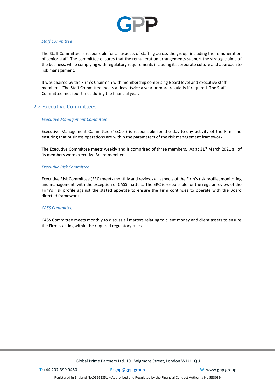

#### *Staff Committee*

The Staff Committee is responsible for all aspects of staffing across the group, including the remuneration of senior staff. The committee ensures that the remuneration arrangements support the strategic aims of the business, while complying with regulatory requirements including its corporate culture and approach to risk management.

It was chaired by the Firm's Chairman with membership comprising Board level and executive staff members. The Staff Committee meets at least twice a year or more regularly if required. The Staff Committee met four times during the financial year.

## 2.2 Executive Committees

#### *Executive Management Committee*

Executive Management Committee ("ExCo") is responsible for the day-to-day activity of the Firm and ensuring that business operations are within the parameters of the risk management framework.

The Executive Committee meets weekly and is comprised of three members. As at 31<sup>st</sup> March 2021 all of its members were executive Board members.

#### *Executive Risk Committee*

Executive Risk Committee (ERC) meets monthly and reviews all aspects of the Firm's risk profile, monitoring and management, with the exception of CASS matters. The ERC is responsible for the regular review of the Firm's risk profile against the stated appetite to ensure the Firm continues to operate with the Board directed framework.

#### *CASS Committee*

CASS Committee meets monthly to discuss all matters relating to client money and client assets to ensure the Firm is acting within the required regulatory rules.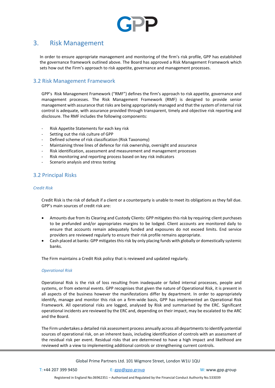

# 3. Risk Management

In order to ensure appropriate management and monitoring of the firm's risk profile, GPP has established the governance framework outlined above. The Board has approved a Risk Management Framework which sets how out the Firm's approach to risk appetite, governance and management processes.

## 3.2 Risk Management Framework

GPP's Risk Management Framework ("RMF") defines the firm's approach to risk appetite, governance and management processes. The Risk Management Framework (RMF) is designed to provide senior management with assurance that risks are being appropriately managed and that the system of internal risk control is adequate, with assurance provided through transparent, timely and objective risk reporting and disclosure. The RMF includes the following components:

- Risk Appetite Statements for each key risk
- Setting out the risk culture of GPP
- Defined scheme of risk classification (Risk Taxonomy)
- Maintaining three lines of defence for risk ownership, oversight and assurance
- Risk identification, assessment and measurement and management processes
- Risk monitoring and reporting process based on key risk indicators
- Scenario analysis and stress testing

# 3.2 Principal Risks

#### *Credit Risk*

Credit Risk is the risk of default if a client or a counterparty is unable to meet its obligations as they fall due. GPP's main sources of credit risk are:

- Amounts due from its Clearing and Custody Clients: GPP mitigates this risk by requiring client purchases to be prefunded and/or appropriates margins to be lodged. Client accounts are monitored daily to ensure that accounts remain adequately funded and exposures do not exceed limits. End service providers are reviewed regularly to ensure their risk profile remains appropriate.
- Cash placed at banks: GPP mitigates this risk by only placing funds with globally or domestically systemic banks.

The Firm maintains a Credit Risk policy that is reviewed and updated regularly.

#### *Operational Risk*

Operational Risk is the risk of loss resulting from inadequate or failed internal processes, people and systems, or from external events. GPP recognises that given the nature of Operational Risk, it is present in all aspects of the business however the manifestations differ by department. In order to appropriately identify, manage and monitor this risk on a firm-wide basis, GPP has implemented an Operational Risk Framework. All operational risks are logged, analysed by Risk and summarised by the ERC. Significant operational incidents are reviewed by the ERC and, depending on their impact, may be escalated to the ARC and the Board.

The Firm undertakes a detailed risk assessment process annually across all departments to identify potential sources of operational risk, on an inherent basis, including identification of controls with an assessment of the residual risk per event. Residual risks that are determined to have a high impact and likelihood are reviewed with a view to implementing additional controls or strengthening current controls.

Global Prime Partners Ltd. 101 Wigmore Street, London W1U 1QU

Registered in England No.06962351 – Authorised and Regulated by the Financial Conduct Authority No.533039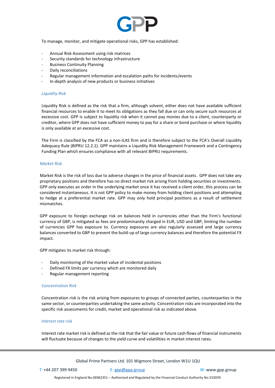

To manage, monitor, and mitigate operational risks, GPP has established:

- Annual Risk Assessment using risk matrices
- Security standards for technology infrastructure
- Business Continuity Planning
- Daily reconciliations
- Regular management information and escalation paths for incidents/events
- In-depth analysis of new products or business initiatives

#### *Liquidity Risk*

Liquidity Risk is defined as the risk that a firm, although solvent, either does not have available sufficient financial resources to enable it to meet its obligations as they fall due or can only secure such resources at excessive cost. GPP is subject to liquidity risk when it cannot pay monies due to a client, counterparty or creditor, where GPP does not have sufficient money to pay for a share or bond purchase or where liquidity is only available at an excessive cost.

The Firm is classified by the FCA as a non-ILAS firm and is therefore subject to the FCA's Overall Liquidity Adequacy Rule (BIPRU 12.2.1). GPP maintains a Liquidity Risk Management Framework and a Contingency Funding Plan which ensures compliance with all relevant BIPRU requirements.

#### *Market Risk*

Market Risk is the risk of loss due to adverse changes in the price of financial assets. GPP does not take any proprietary positions and therefore has no direct market risk arising from holding securities or investments. GPP only executes an order in the underlying market once it has received a client order, this process can be considered instantaneous. It is not GPP policy to make money from holding client positions and attempting to hedge at a preferential market rate. GPP may only hold principal positions as a result of settlement mismatches.

GPP exposure to foreign exchange risk on balances held in currencies other than the Firm's functional currency of GBP, is mitigated as fees are predominantly charged in EUR, USD and GBP, limiting the number of currencies GPP has exposure to. Currency exposures are also regularly assessed and large currency balances converted to GBP to prevent the build-up of large currency balances and therefore the potential FX impact.

GPP mitigates its market risk through:

- Daily monitoring of the market value of incidental positions
- Defined FX limits per currency which are monitored daily
- Regular management reporting

#### *Concentration Risk*

Concentration risk is the risk arising from exposures to groups of connected parties, counterparties in the same sector, or counterparties undertaking the same activity. Concentration risks are incorporated into the specific risk assessments for credit, market and operational risk as indicated above.

#### *Interest rate risk*

Interest rate market risk is defined as the risk that the fair value or future cash flows of financial instruments will fluctuate because of changes to the yield curve and volatilities in market interest rates.

Global Prime Partners Ltd. 101 Wigmore Street, London W1U 1QU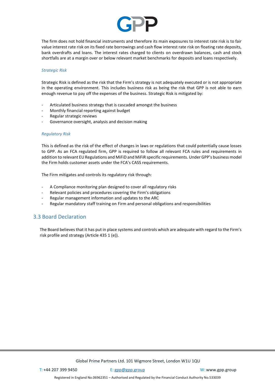

The firm does not hold financial instruments and therefore its main exposures to interest rate risk is to fair value interest rate risk on its fixed rate borrowings and cash flow interest rate risk on floating rate deposits, bank overdrafts and loans. The interest rates charged to clients on overdrawn balances, cash and stock shortfalls are at a margin over or below relevant market benchmarks for deposits and loans respectively.

#### *Strategic Risk*

Strategic Risk is defined as the risk that the Firm's strategy is not adequately executed or is not appropriate in the operating environment. This includes business risk as being the risk that GPP is not able to earn enough revenue to pay off the expenses of the business. Strategic Risk is mitigated by:

- Articulated business strategy that is cascaded amongst the business
- Monthly financial reporting against budget
- Regular strategic reviews
- Governance oversight, analysis and decision making

#### *Regulatory Risk*

This is defined as the risk of the effect of changes in laws or regulations that could potentially cause losses to GPP. As an FCA regulated firm, GPP is required to follow all relevant FCA rules and requirements in addition to relevant EU Regulations and MiFiD and MiFiR specific requirements. Under GPP's business model the Firm holds customer assets under the FCA's CASS requirements.

The Firm mitigates and controls its regulatory risk through:

- A Compliance monitoring plan designed to cover all regulatory risks
- Relevant policies and procedures covering the Firm's obligations
- Regular management information and updates to the ARC
- Regular mandatory staff training on Firm and personal obligations and responsibilities

## 3.3 Board Declaration

The Board believes that it has put in place systems and controls which are adequate with regard to the Firm's risk profile and strategy (Article 435 1 (e)).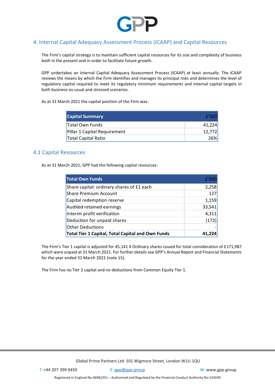

# 4. Internal Capital Adequacy Assessment Process (ICAAP) and Capital Resources

The Firm's capital strategy is to maintain sufficient capital resources for its size and complexity of business both in the present and in order to facilitate future growth.

GPP undertakes an Internal Capital Adequacy Assessment Process (ICAAP) at least annually. The ICAAP reviews the means by which the Firm identifies and manages its principal risks and determines the level of regulatory capital required to meet its regulatory minimum requirements and internal capital targets in both business-as-usual and stressed scenarios.

As at 31 March 2021 the capital position of the Firm was:

| <b>Capital Summary</b>       | f'OOC  |
|------------------------------|--------|
| <b>Total Own Funds</b>       | 41.224 |
| Pillar 1 Capital Requirement | 12.772 |
| <b>Total Capital Ratio</b>   | 26%)   |

## 4.1 Capital Resources

As at 31 March 2021, GPP had the following capital resources:

| <b>Total Own Funds</b>                                   | f'000  |
|----------------------------------------------------------|--------|
| Share capital: ordinary shares of £1 each                | 2,258  |
| Share Premium Account                                    | 127    |
| Capital redemption reserve                               | 1,159  |
| Audited retained earnings                                | 33,541 |
| Interim profit verification                              | 4,311  |
| Deduction for unpaid shares                              | (172)  |
| Other Deductions                                         |        |
| <b>Total Tier 1 Capital, Total Capital and Own Funds</b> | 41,224 |

The Firm's Tier 1 capital is adjusted for 45,141 X Ordinary shares issued for total consideration of £171,987 which were unpaid at 31 March 2021. For further details see GPP's Annual Report and Financial Statements for the year ended 31 March 2021 (note 15).

The Firm has no Tier 2 capital and no deductions from Common Equity Tier 1.

Global Prime Partners Ltd. 101 Wigmore Street, London W1U 1QU

T: +44 207 399 9450 E: [gpp@gpp.group](mailto:gpp@gpp.group) W: [www.gpp.group](http://www.gpp.group/)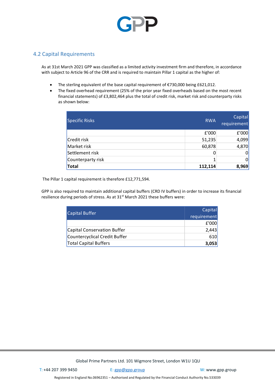

# 4.2 Capital Requirements

As at 31st March 2021 GPP was classified as a limited activity investment firm and therefore, in accordance with subject to Article 96 of the CRR and is required to maintain Pillar 1 capital as the higher of:

- The sterling equivalent of the base capital requirement of €730,000 being £621,012.
- The fixed overhead requirement (25% of the prior year fixed overheads based on the most recent financial statements) of £3,802,464 plus the total of credit risk, market risk and counterparty risks as shown below:

| <b>Specific Risks</b> | <b>RWA</b> | Capital<br>requirement |
|-----------------------|------------|------------------------|
|                       | £'000      | £'000                  |
| Credit risk           | 51,235     | 4,099                  |
| Market risk           | 60,878     | 4,870                  |
| Settlement risk       | 0          | $\overline{0}$         |
| Counterparty risk     |            | $\Omega$               |
| Total                 | 112,114    | 8,969                  |

The Pillar 1 capital requirement is therefore £12,771,594.

GPP is also required to maintain additional capital buffers (CRD IV buffers) in order to increase its financial resilience during periods of stress. As at 31<sup>st</sup> March 2021 these buffers were:

| <b>Capital Buffer</b>         | Capital<br>requirement |
|-------------------------------|------------------------|
|                               | f'000                  |
| Capital Conservation Buffer   | 2,443                  |
| Countercyclical Credit Buffer | 610                    |
| <b>Total Capital Buffers</b>  | 3,053                  |

Global Prime Partners Ltd. 101 Wigmore Street, London W1U 1QU